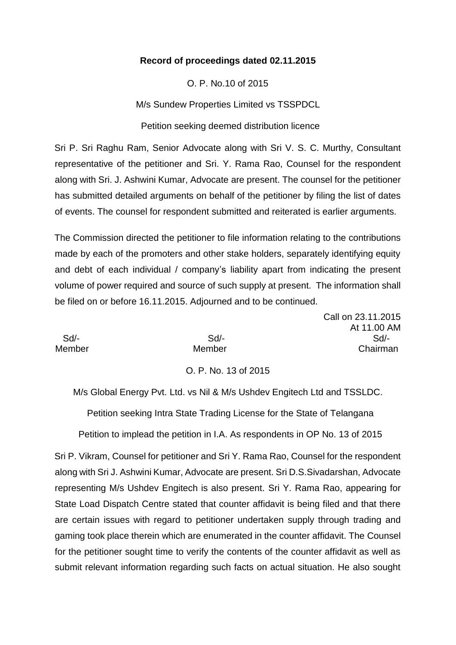#### **Record of proceedings dated 02.11.2015**

O. P. No.10 of 2015

M/s Sundew Properties Limited vs TSSPDCL

Petition seeking deemed distribution licence

Sri P. Sri Raghu Ram, Senior Advocate along with Sri V. S. C. Murthy, Consultant representative of the petitioner and Sri. Y. Rama Rao, Counsel for the respondent along with Sri. J. Ashwini Kumar, Advocate are present. The counsel for the petitioner has submitted detailed arguments on behalf of the petitioner by filing the list of dates of events. The counsel for respondent submitted and reiterated is earlier arguments.

The Commission directed the petitioner to file information relating to the contributions made by each of the promoters and other stake holders, separately identifying equity and debt of each individual / company's liability apart from indicating the present volume of power required and source of such supply at present. The information shall be filed on or before 16.11.2015. Adjourned and to be continued.

Call on 23.11.2015 At 11.00 AM Sd/- Sd/- Sd/- Member Member Chairman

O. P. No. 13 of 2015

M/s Global Energy Pvt. Ltd. vs Nil & M/s Ushdev Engitech Ltd and TSSLDC.

Petition seeking Intra State Trading License for the State of Telangana

Petition to implead the petition in I.A. As respondents in OP No. 13 of 2015

Sri P. Vikram, Counsel for petitioner and Sri Y. Rama Rao, Counsel for the respondent along with Sri J. Ashwini Kumar, Advocate are present. Sri D.S.Sivadarshan, Advocate representing M/s Ushdev Engitech is also present. Sri Y. Rama Rao, appearing for State Load Dispatch Centre stated that counter affidavit is being filed and that there are certain issues with regard to petitioner undertaken supply through trading and gaming took place therein which are enumerated in the counter affidavit. The Counsel for the petitioner sought time to verify the contents of the counter affidavit as well as submit relevant information regarding such facts on actual situation. He also sought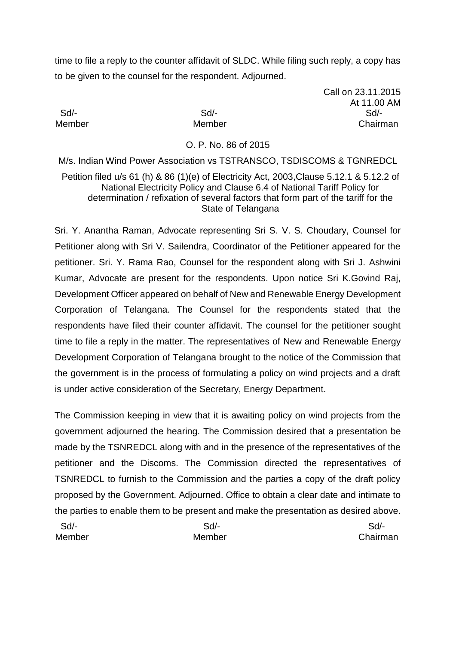time to file a reply to the counter affidavit of SLDC. While filing such reply, a copy has to be given to the counsel for the respondent. Adjourned.

Call on 23.11.2015 At 11.00 AM Sd/- Sd/- Sd/- Member Member Chairman

#### O. P. No. 86 of 2015

M/s. Indian Wind Power Association vs TSTRANSCO, TSDISCOMS & TGNREDCL Petition filed u/s 61 (h) & 86 (1)(e) of Electricity Act, 2003,Clause 5.12.1 & 5.12.2 of National Electricity Policy and Clause 6.4 of National Tariff Policy for determination / refixation of several factors that form part of the tariff for the State of Telangana

Sri. Y. Anantha Raman, Advocate representing Sri S. V. S. Choudary, Counsel for Petitioner along with Sri V. Sailendra, Coordinator of the Petitioner appeared for the petitioner. Sri. Y. Rama Rao, Counsel for the respondent along with Sri J. Ashwini Kumar, Advocate are present for the respondents. Upon notice Sri K.Govind Raj, Development Officer appeared on behalf of New and Renewable Energy Development Corporation of Telangana. The Counsel for the respondents stated that the respondents have filed their counter affidavit. The counsel for the petitioner sought time to file a reply in the matter. The representatives of New and Renewable Energy Development Corporation of Telangana brought to the notice of the Commission that the government is in the process of formulating a policy on wind projects and a draft is under active consideration of the Secretary, Energy Department.

The Commission keeping in view that it is awaiting policy on wind projects from the government adjourned the hearing. The Commission desired that a presentation be made by the TSNREDCL along with and in the presence of the representatives of the petitioner and the Discoms. The Commission directed the representatives of TSNREDCL to furnish to the Commission and the parties a copy of the draft policy proposed by the Government. Adjourned. Office to obtain a clear date and intimate to the parties to enable them to be present and make the presentation as desired above.

| Sd/-   | Sd/-   | Sd/-     |
|--------|--------|----------|
| Member | Member | Chairman |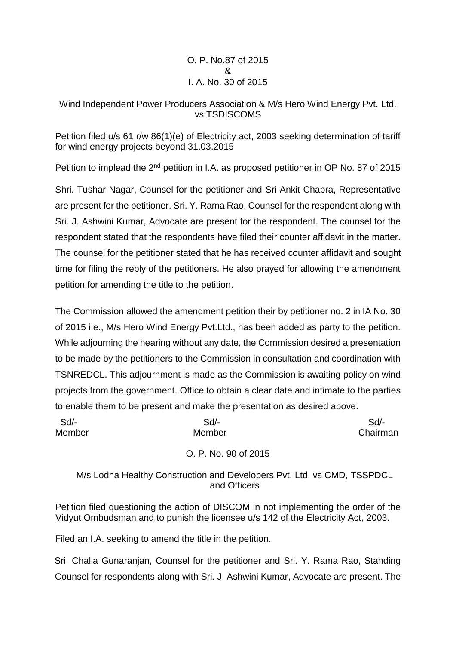O. P. No.87 of 2015 & I. A. No. 30 of 2015

#### Wind Independent Power Producers Association & M/s Hero Wind Energy Pvt. Ltd. vs TSDISCOMS

Petition filed u/s 61 r/w 86(1)(e) of Electricity act, 2003 seeking determination of tariff for wind energy projects beyond 31.03.2015

Petition to implead the 2<sup>nd</sup> petition in I.A. as proposed petitioner in OP No. 87 of 2015

Shri. Tushar Nagar, Counsel for the petitioner and Sri Ankit Chabra, Representative are present for the petitioner. Sri. Y. Rama Rao, Counsel for the respondent along with Sri. J. Ashwini Kumar, Advocate are present for the respondent. The counsel for the respondent stated that the respondents have filed their counter affidavit in the matter. The counsel for the petitioner stated that he has received counter affidavit and sought time for filing the reply of the petitioners. He also prayed for allowing the amendment petition for amending the title to the petition.

The Commission allowed the amendment petition their by petitioner no. 2 in IA No. 30 of 2015 i.e., M/s Hero Wind Energy Pvt.Ltd., has been added as party to the petition. While adjourning the hearing without any date, the Commission desired a presentation to be made by the petitioners to the Commission in consultation and coordination with TSNREDCL. This adjournment is made as the Commission is awaiting policy on wind projects from the government. Office to obtain a clear date and intimate to the parties to enable them to be present and make the presentation as desired above.

| Sd/-   | Sd/-   | Sd       |
|--------|--------|----------|
| Member | Member | Chairman |

## O. P. No. 90 of 2015

M/s Lodha Healthy Construction and Developers Pvt. Ltd. vs CMD, TSSPDCL and Officers

Petition filed questioning the action of DISCOM in not implementing the order of the Vidyut Ombudsman and to punish the licensee u/s 142 of the Electricity Act, 2003.

Filed an I.A. seeking to amend the title in the petition.

Sri. Challa Gunaranjan, Counsel for the petitioner and Sri. Y. Rama Rao, Standing Counsel for respondents along with Sri. J. Ashwini Kumar, Advocate are present. The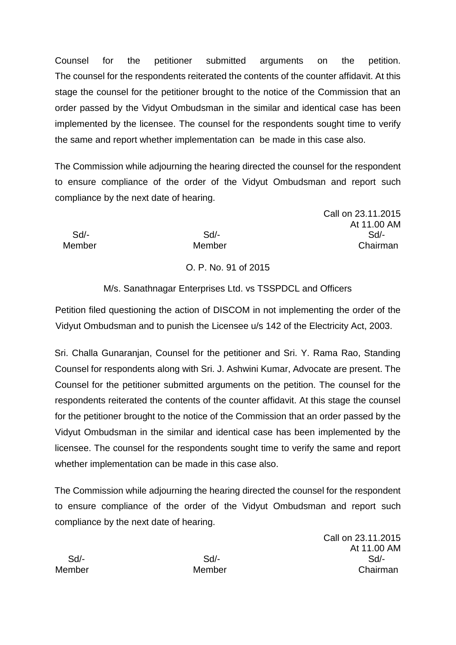Counsel for the petitioner submitted arguments on the petition. The counsel for the respondents reiterated the contents of the counter affidavit. At this stage the counsel for the petitioner brought to the notice of the Commission that an order passed by the Vidyut Ombudsman in the similar and identical case has been implemented by the licensee. The counsel for the respondents sought time to verify the same and report whether implementation can be made in this case also.

The Commission while adjourning the hearing directed the counsel for the respondent to ensure compliance of the order of the Vidyut Ombudsman and report such compliance by the next date of hearing.

Call on 23.11.2015 At 11.00 AM Sd/- Sd/- Sd/- Member Member Chairman

## O. P. No. 91 of 2015

# M/s. Sanathnagar Enterprises Ltd. vs TSSPDCL and Officers

Petition filed questioning the action of DISCOM in not implementing the order of the Vidyut Ombudsman and to punish the Licensee u/s 142 of the Electricity Act, 2003.

Sri. Challa Gunaranjan, Counsel for the petitioner and Sri. Y. Rama Rao, Standing Counsel for respondents along with Sri. J. Ashwini Kumar, Advocate are present. The Counsel for the petitioner submitted arguments on the petition. The counsel for the respondents reiterated the contents of the counter affidavit. At this stage the counsel for the petitioner brought to the notice of the Commission that an order passed by the Vidyut Ombudsman in the similar and identical case has been implemented by the licensee. The counsel for the respondents sought time to verify the same and report whether implementation can be made in this case also.

The Commission while adjourning the hearing directed the counsel for the respondent to ensure compliance of the order of the Vidyut Ombudsman and report such compliance by the next date of hearing.

Call on 23.11.2015 At 11.00 AM Sd/- Sd/- Sd/- Member Member Chairman